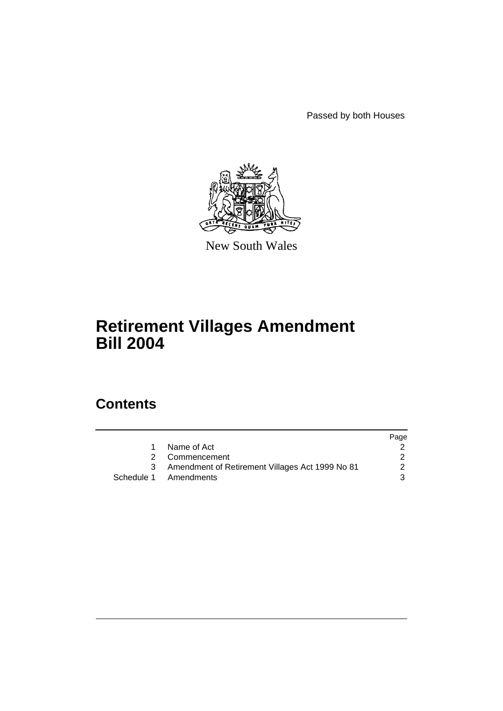Passed by both Houses



New South Wales

# **Retirement Villages Amendment Bill 2004**

# **Contents**

|    |                                                   | Page |
|----|---------------------------------------------------|------|
| 1. | Name of Act                                       |      |
|    | 2 Commencement                                    |      |
|    | 3 Amendment of Retirement Villages Act 1999 No 81 | 2    |
|    | Schedule 1 Amendments                             | 3    |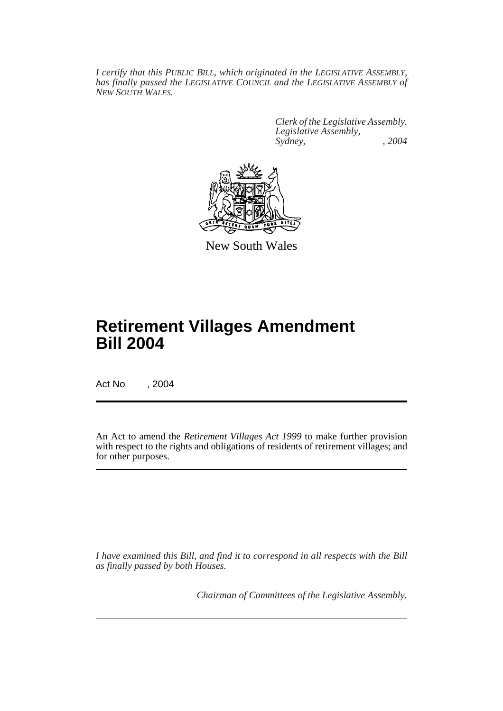*I certify that this PUBLIC BILL, which originated in the LEGISLATIVE ASSEMBLY, has finally passed the LEGISLATIVE COUNCIL and the LEGISLATIVE ASSEMBLY of NEW SOUTH WALES.*

> *Clerk of the Legislative Assembly. Legislative Assembly, Sydney, , 2004*



New South Wales

# **Retirement Villages Amendment Bill 2004**

Act No , 2004

An Act to amend the *Retirement Villages Act 1999* to make further provision with respect to the rights and obligations of residents of retirement villages; and for other purposes.

*I have examined this Bill, and find it to correspond in all respects with the Bill as finally passed by both Houses.*

*Chairman of Committees of the Legislative Assembly.*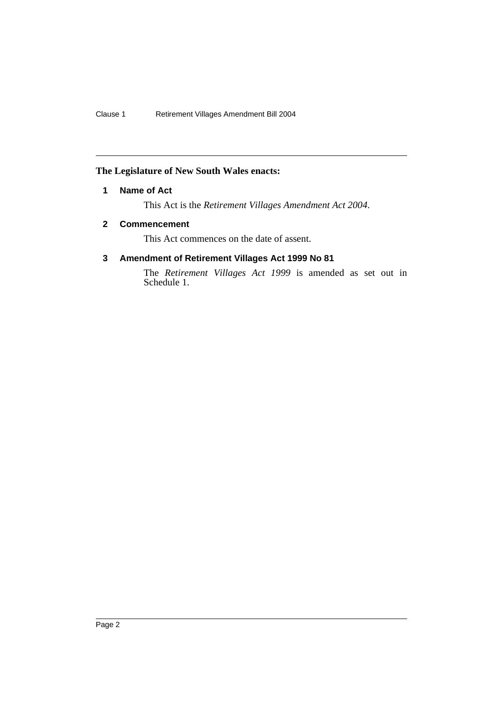# **The Legislature of New South Wales enacts:**

# **1 Name of Act**

This Act is the *Retirement Villages Amendment Act 2004*.

# **2 Commencement**

This Act commences on the date of assent.

# **3 Amendment of Retirement Villages Act 1999 No 81**

The *Retirement Villages Act 1999* is amended as set out in Schedule 1.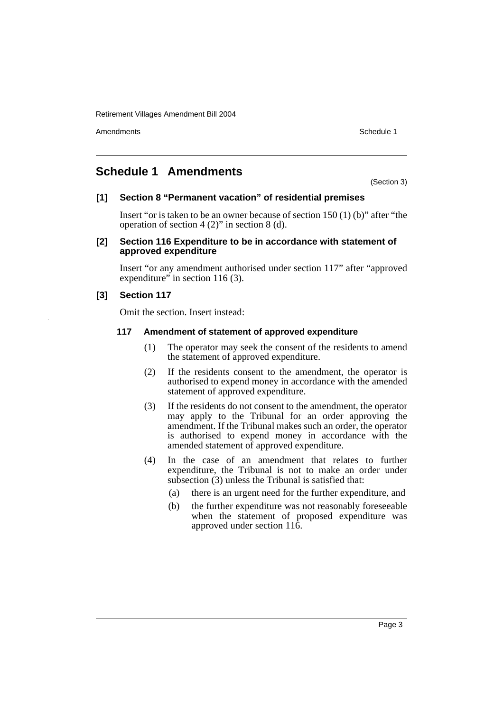Retirement Villages Amendment Bill 2004

Amendments **Amendments** Schedule 1

# **Schedule 1 Amendments**

(Section 3)

#### **[1] Section 8 "Permanent vacation" of residential premises**

Insert "or is taken to be an owner because of section 150 (1) (b)" after "the operation of section 4 (2)" in section 8 (d).

#### **[2] Section 116 Expenditure to be in accordance with statement of approved expenditure**

Insert "or any amendment authorised under section 117" after "approved expenditure" in section 116 (3).

# **[3] Section 117**

Omit the section. Insert instead:

#### **117 Amendment of statement of approved expenditure**

- (1) The operator may seek the consent of the residents to amend the statement of approved expenditure.
- (2) If the residents consent to the amendment, the operator is authorised to expend money in accordance with the amended statement of approved expenditure.
- (3) If the residents do not consent to the amendment, the operator may apply to the Tribunal for an order approving the amendment. If the Tribunal makes such an order, the operator is authorised to expend money in accordance with the amended statement of approved expenditure.
- (4) In the case of an amendment that relates to further expenditure, the Tribunal is not to make an order under subsection (3) unless the Tribunal is satisfied that:
	- (a) there is an urgent need for the further expenditure, and
	- (b) the further expenditure was not reasonably foreseeable when the statement of proposed expenditure was approved under section 116.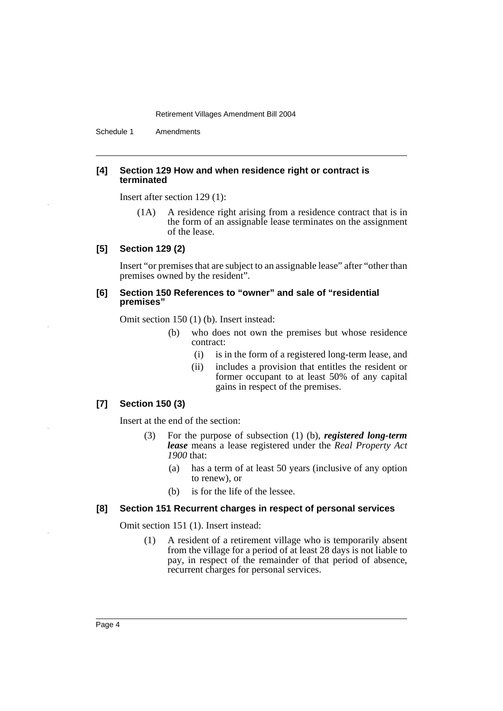Retirement Villages Amendment Bill 2004

Schedule 1 Amendments

#### **[4] Section 129 How and when residence right or contract is terminated**

Insert after section 129 (1):

(1A) A residence right arising from a residence contract that is in the form of an assignable lease terminates on the assignment of the lease.

#### **[5] Section 129 (2)**

Insert "or premises that are subject to an assignable lease" after "other than premises owned by the resident".

#### **[6] Section 150 References to "owner" and sale of "residential premises"**

Omit section 150 (1) (b). Insert instead:

- (b) who does not own the premises but whose residence contract:
	- (i) is in the form of a registered long-term lease, and
	- (ii) includes a provision that entitles the resident or former occupant to at least 50% of any capital gains in respect of the premises.

#### **[7] Section 150 (3)**

Insert at the end of the section:

- (3) For the purpose of subsection (1) (b), *registered long-term lease* means a lease registered under the *Real Property Act 1900* that:
	- (a) has a term of at least 50 years (inclusive of any option to renew), or
	- (b) is for the life of the lessee.

#### **[8] Section 151 Recurrent charges in respect of personal services**

Omit section 151 (1). Insert instead:

(1) A resident of a retirement village who is temporarily absent from the village for a period of at least 28 days is not liable to pay, in respect of the remainder of that period of absence, recurrent charges for personal services.